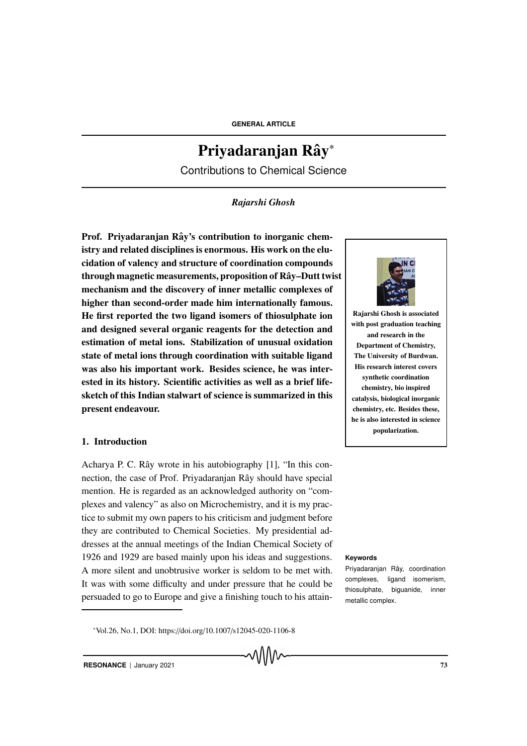# Priyadaranjan Rây<sup>∗</sup>

Contributions to Chemical Science

# *Rajarshi Ghosh*

Prof. Priyadaranjan Rây's contribution to inorganic chemistry and related disciplines is enormous. His work on the elucidation of valency and structure of coordination compounds through magnetic measurements, proposition of Rây–Dutt twist mechanism and the discovery of inner metallic complexes of higher than second-order made him internationally famous. He first reported the two ligand isomers of thiosulphate ion and designed several organic reagents for the detection and estimation of metal ions. Stabilization of unusual oxidation state of metal ions through coordination with suitable ligand was also his important work. Besides science, he was interested in its history. Scientific activities as well as a brief lifesketch of this Indian stalwart of science is summarized in this present endeavour.

# 1. Introduction

Acharya P. C. Rây wrote in his autobiography  $[1]$ , "In this connection, the case of Prof. Priyadaranjan Rây should have special mention. He is regarded as an acknowledged authority on "complexes and valency" as also on Microchemistry, and it is my practice to submit my own papers to his criticism and judgment before they are contributed to Chemical Societies. My presidential addresses at the annual meetings of the Indian Chemical Society of 1926 and 1929 are based mainly upon his ideas and suggestions. **Keywords** A more silent and unobtrusive worker is seldom to be met with. It was with some difficulty and under pressure that he could be persuaded to go to Europe and give a finishing touch to his attain-

<sup>∗</sup>Vol.26, No.1, DOI: https://doi.org/10.1007/s12045-020-1106-8



Rajarshi Ghosh is associated with post graduation teaching and research in the Department of Chemistry, The University of Burdwan. His research interest covers synthetic coordination chemistry, bio inspired catalysis, biological inorganic chemistry, etc. Besides these, he is also interested in science popularization.

Priyadaranjan Rây, coordination complexes, ligand isomerism, thiosulphate, biguanide, inner metallic complex.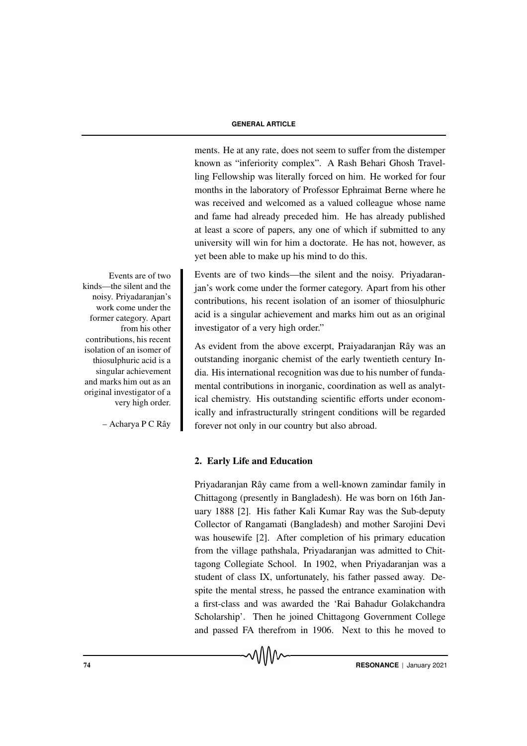ments. He at any rate, does not seem to suffer from the distemper known as "inferiority complex". A Rash Behari Ghosh Travelling Fellowship was literally forced on him. He worked for four months in the laboratory of Professor Ephraimat Berne where he was received and welcomed as a valued colleague whose name and fame had already preceded him. He has already published at least a score of papers, any one of which if submitted to any university will win for him a doctorate. He has not, however, as yet been able to make up his mind to do this.

Events are of two kinds—the silent and the noisy. Priyadaranjan's work come under the former category. Apart from his other contributions, his recent isolation of an isomer of thiosulphuric acid is a singular achievement and marks him out as an original investigator of a very high order."

As evident from the above excerpt, Praiyadaranjan Rây was an outstanding inorganic chemist of the early twentieth century India. His international recognition was due to his number of fundamental contributions in inorganic, coordination as well as analytical chemistry. His outstanding scientific efforts under economically and infrastructurally stringent conditions will be regarded forever not only in our country but also abroad.

### 2. Early Life and Education

Priyadaranjan Rây came from a well-known zamindar family in Chittagong (presently in Bangladesh). He was born on 16th January 1888 [2]. His father Kali Kumar Ray was the Sub-deputy Collector of Rangamati (Bangladesh) and mother Sarojini Devi was housewife [2]. After completion of his primary education from the village pathshala, Priyadaranjan was admitted to Chittagong Collegiate School. In 1902, when Priyadaranjan was a student of class IX, unfortunately, his father passed away. Despite the mental stress, he passed the entrance examination with a first-class and was awarded the 'Rai Bahadur Golakchandra Scholarship'. Then he joined Chittagong Government College and passed FA therefrom in 1906. Next to this he moved to

Events are of two kinds—the silent and the noisy. Priyadaranjan's work come under the former category. Apart from his other contributions, his recent isolation of an isomer of thiosulphuric acid is a singular achievement and marks him out as an original investigator of a very high order.

– Acharya P C Rây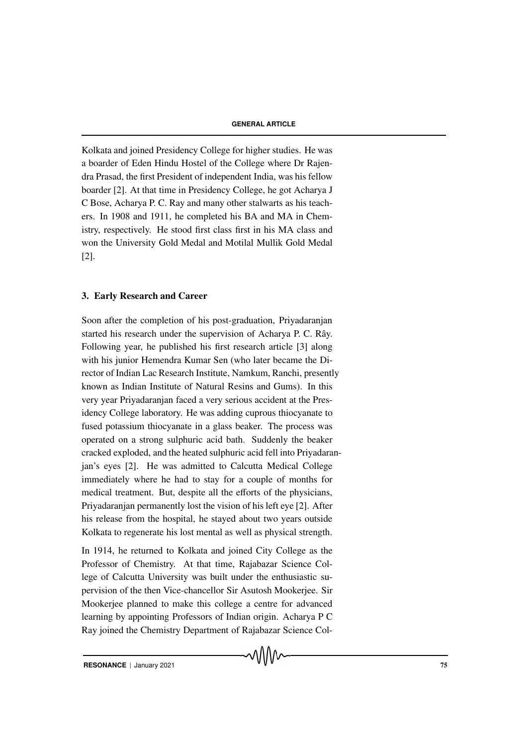Kolkata and joined Presidency College for higher studies. He was a boarder of Eden Hindu Hostel of the College where Dr Rajendra Prasad, the first President of independent India, was his fellow boarder [2]. At that time in Presidency College, he got Acharya J C Bose, Acharya P. C. Ray and many other stalwarts as his teachers. In 1908 and 1911, he completed his BA and MA in Chemistry, respectively. He stood first class first in his MA class and won the University Gold Medal and Motilal Mullik Gold Medal [2].

# 3. Early Research and Career

Soon after the completion of his post-graduation, Priyadaranjan started his research under the supervision of Acharya P. C. Rây. Following year, he published his first research article [3] along with his junior Hemendra Kumar Sen (who later became the Director of Indian Lac Research Institute, Namkum, Ranchi, presently known as Indian Institute of Natural Resins and Gums). In this very year Priyadaranjan faced a very serious accident at the Presidency College laboratory. He was adding cuprous thiocyanate to fused potassium thiocyanate in a glass beaker. The process was operated on a strong sulphuric acid bath. Suddenly the beaker cracked exploded, and the heated sulphuric acid fell into Priyadaranjan's eyes [2]. He was admitted to Calcutta Medical College immediately where he had to stay for a couple of months for medical treatment. But, despite all the efforts of the physicians, Priyadaranjan permanently lost the vision of his left eye [2]. After his release from the hospital, he stayed about two years outside Kolkata to regenerate his lost mental as well as physical strength.

In 1914, he returned to Kolkata and joined City College as the Professor of Chemistry. At that time, Rajabazar Science College of Calcutta University was built under the enthusiastic supervision of the then Vice-chancellor Sir Asutosh Mookerjee. Sir Mookerjee planned to make this college a centre for advanced learning by appointing Professors of Indian origin. Acharya P C Ray joined the Chemistry Department of Rajabazar Science Col-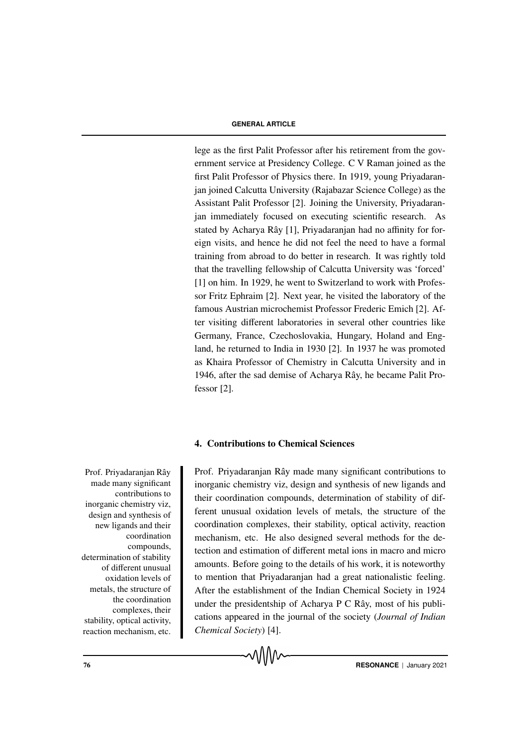lege as the first Palit Professor after his retirement from the government service at Presidency College. C V Raman joined as the first Palit Professor of Physics there. In 1919, young Priyadaranjan joined Calcutta University (Rajabazar Science College) as the Assistant Palit Professor [2]. Joining the University, Priyadaranjan immediately focused on executing scientific research. As stated by Acharya Rây [1], Priyadaranjan had no affinity for foreign visits, and hence he did not feel the need to have a formal training from abroad to do better in research. It was rightly told that the travelling fellowship of Calcutta University was 'forced' [1] on him. In 1929, he went to Switzerland to work with Professor Fritz Ephraim [2]. Next year, he visited the laboratory of the famous Austrian microchemist Professor Frederic Emich [2]. After visiting different laboratories in several other countries like Germany, France, Czechoslovakia, Hungary, Holand and England, he returned to India in 1930 [2]. In 1937 he was promoted as Khaira Professor of Chemistry in Calcutta University and in 1946, after the sad demise of Acharya Rây, he became Palit Professor [2].

# 4. Contributions to Chemical Sciences

made many significant contributions to inorganic chemistry viz, design and synthesis of new ligands and their coordination compounds, determination of stability of different unusual oxidation levels of metals, the structure of the coordination complexes, their stability, optical activity, reaction mechanism, etc.

Prof. Priyadaranjan Rây Prof. Priyadaranjan Rây made many significant contributions to inorganic chemistry viz, design and synthesis of new ligands and their coordination compounds, determination of stability of different unusual oxidation levels of metals, the structure of the coordination complexes, their stability, optical activity, reaction mechanism, etc. He also designed several methods for the detection and estimation of different metal ions in macro and micro amounts. Before going to the details of his work, it is noteworthy to mention that Priyadaranjan had a great nationalistic feeling. After the establishment of the Indian Chemical Society in 1924 under the presidentship of Acharya P C Rây, most of his publications appeared in the journal of the society (*Journal of Indian Chemical Society*) [4].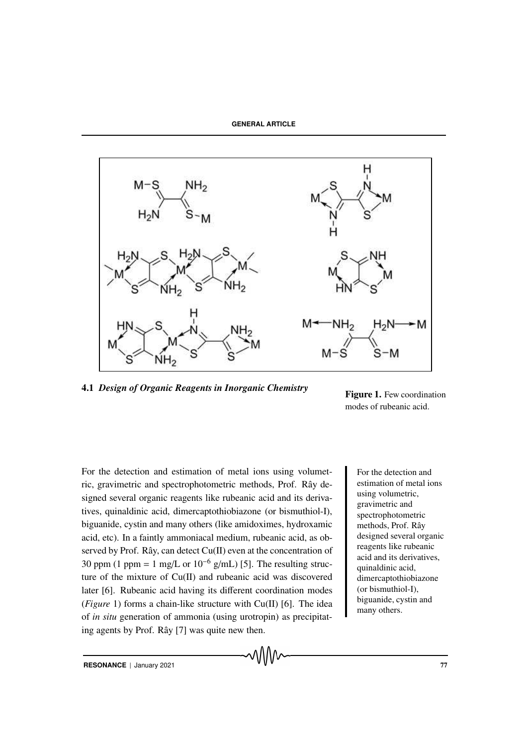**GENERAL ARTICLE**



᠕᠕᠕᠕

4.1 *Design of Organic Reagents in Inorganic Chemistry*

Figure 1. Few coordination modes of rubeanic acid.

For the detection and estimation of metal ions using volumet-<br>For the detection and ric, gravimetric and spectrophotometric methods, Prof. Rây designed several organic reagents like rubeanic acid and its derivatives, quinaldinic acid, dimercaptothiobiazone (or bismuthiol-I), biguanide, cystin and many others (like amidoximes, hydroxamic acid, etc). In a faintly ammoniacal medium, rubeanic acid, as observed by Prof. Rây, can detect  $Cu(II)$  even at the concentration of 30 ppm (1 ppm = 1 mg/L or  $10^{-6}$  g/mL) [5]. The resulting structure of the mixture of Cu(II) and rubeanic acid was discovered later [6]. Rubeanic acid having its different coordination modes (*Figure* 1) forms a chain-like structure with Cu(II) [6]. The idea of *in situ* generation of ammonia (using urotropin) as precipitating agents by Prof. Rây  $[7]$  was quite new then.

estimation of metal ions using volumetric, gravimetric and spectrophotometric methods, Prof. Rây designed several organic reagents like rubeanic acid and its derivatives, quinaldinic acid, dimercaptothiobiazone (or bismuthiol-I), biguanide, cystin and many others.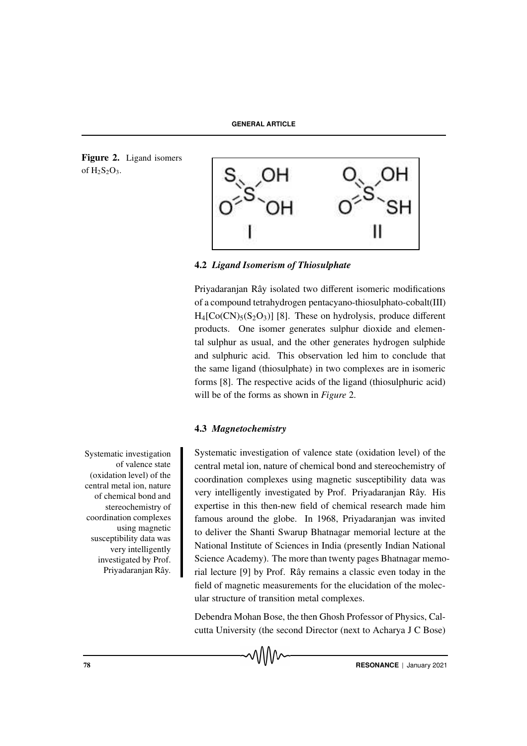Figure 2. Ligand isomers of  $H_2S_2O_3$ .



4.2 *Ligand Isomerism of Thiosulphate*

Priyadaranjan Rây isolated two different isomeric modifications of a compound tetrahydrogen pentacyano-thiosulphato-cobalt(III)  $H_4[Co(CN)_{5}(S_2O_3)]$  [8]. These on hydrolysis, produce different products. One isomer generates sulphur dioxide and elemental sulphur as usual, and the other generates hydrogen sulphide and sulphuric acid. This observation led him to conclude that the same ligand (thiosulphate) in two complexes are in isomeric forms [8]. The respective acids of the ligand (thiosulphuric acid) will be of the forms as shown in *Figure* 2.

# 4.3 *Magnetochemistry*

Systematic investigation of valence state (oxidation level) of the central metal ion, nature of chemical bond and stereochemistry of coordination complexes using magnetic susceptibility data was very intelligently investigated by Prof. Priyadaranjan Rây. His expertise in this then-new field of chemical research made him famous around the globe. In 1968, Priyadaranjan was invited to deliver the Shanti Swarup Bhatnagar memorial lecture at the National Institute of Sciences in India (presently Indian National Science Academy). The more than twenty pages Bhatnagar memorial lecture [9] by Prof. Rây remains a classic even today in the field of magnetic measurements for the elucidation of the molecular structure of transition metal complexes.

Debendra Mohan Bose, the then Ghosh Professor of Physics, Calcutta University (the second Director (next to Acharya J C Bose)



Systematic investigation of valence state (oxidation level) of the central metal ion, nature of chemical bond and stereochemistry of coordination complexes using magnetic susceptibility data was very intelligently investigated by Prof. Priyadaranjan Rây.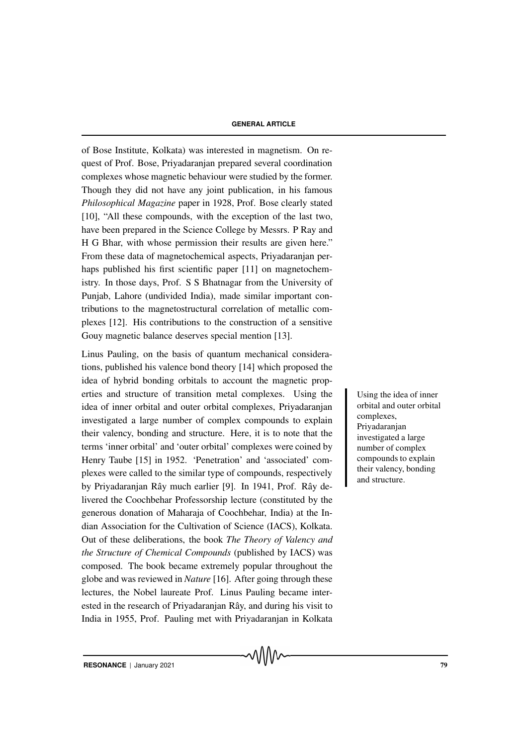of Bose Institute, Kolkata) was interested in magnetism. On request of Prof. Bose, Priyadaranjan prepared several coordination complexes whose magnetic behaviour were studied by the former. Though they did not have any joint publication, in his famous *Philosophical Magazine* paper in 1928, Prof. Bose clearly stated [10], "All these compounds, with the exception of the last two, have been prepared in the Science College by Messrs. P Ray and H G Bhar, with whose permission their results are given here." From these data of magnetochemical aspects, Priyadaranjan perhaps published his first scientific paper [11] on magnetochemistry. In those days, Prof. S S Bhatnagar from the University of Punjab, Lahore (undivided India), made similar important contributions to the magnetostructural correlation of metallic complexes [12]. His contributions to the construction of a sensitive Gouy magnetic balance deserves special mention [13].

Linus Pauling, on the basis of quantum mechanical considerations, published his valence bond theory [14] which proposed the idea of hybrid bonding orbitals to account the magnetic properties and structure of transition metal complexes. Using the Using the idea of inner idea of inner orbital and outer orbital complexes, Priyadaranjan investigated a large number of complex compounds to explain their valency, bonding and structure. Here, it is to note that the terms 'inner orbital' and 'outer orbital' complexes were coined by Henry Taube [15] in 1952. 'Penetration' and 'associated' complexes were called to the similar type of compounds, respectively by Priyadaranjan Rây much earlier [9]. In 1941, Prof. Rây delivered the Coochbehar Professorship lecture (constituted by the generous donation of Maharaja of Coochbehar, India) at the Indian Association for the Cultivation of Science (IACS), Kolkata. Out of these deliberations, the book *The Theory of Valency and the Structure of Chemical Compounds* (published by IACS) was composed. The book became extremely popular throughout the globe and was reviewed in *Nature* [16]. After going through these lectures, the Nobel laureate Prof. Linus Pauling became interested in the research of Priyadaranjan Rây, and during his visit to India in 1955, Prof. Pauling met with Priyadaranjan in Kolkata

orbital and outer orbital complexes, Priyadaranjan investigated a large number of complex compounds to explain their valency, bonding and structure.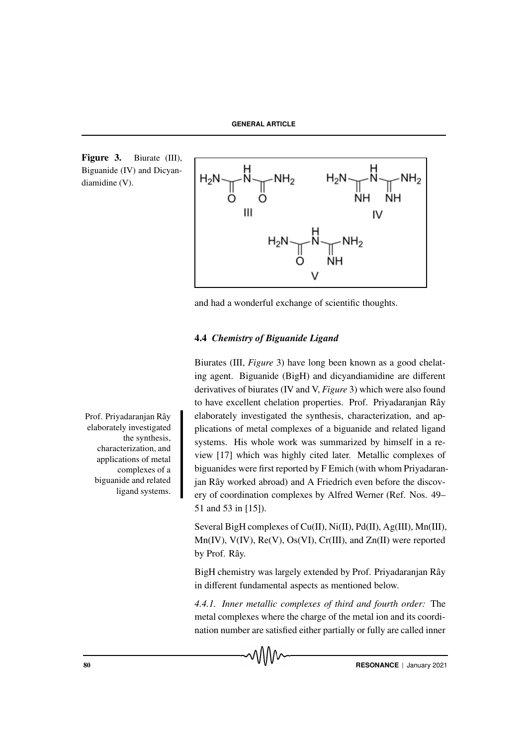Figure 3. Biurate (III), Biguanide (IV) and Dicyandiamidine (V).



and had a wonderful exchange of scientific thoughts.

# 4.4 *Chemistry of Biguanide Ligand*

Biurates (III, *Figure* 3) have long been known as a good chelating agent. Biguanide (BigH) and dicyandiamidine are different derivatives of biurates (IV and V, *Figure* 3) which were also found to have excellent chelation properties. Prof. Priyadaranjan Rây elaborately investigated the synthesis, characterization, and applications of metal complexes of a biguanide and related ligand systems. His whole work was summarized by himself in a review [17] which was highly cited later. Metallic complexes of biguanides were first reported by F Emich (with whom Priyadaranjan Rây worked abroad) and A Friedrich even before the discovery of coordination complexes by Alfred Werner (Ref. Nos. 49– 51 and 53 in [15]).

Several BigH complexes of Cu(II), Ni(II), Pd(II), Ag(III), Mn(III), Mn(IV), V(IV), Re(V), Os(VI), Cr(III), and Zn(II) were reported by Prof. Rây.

BigH chemistry was largely extended by Prof. Priyadaranjan Rây in different fundamental aspects as mentioned below.

*4.4.1. Inner metallic complexes of third and fourth order:* The metal complexes where the charge of the metal ion and its coordination number are satisfied either partially or fully are called inner



Prof. Priyadaranjan Rây elaborately investigated the synthesis, characterization, and applications of metal complexes of a biguanide and related ligand systems.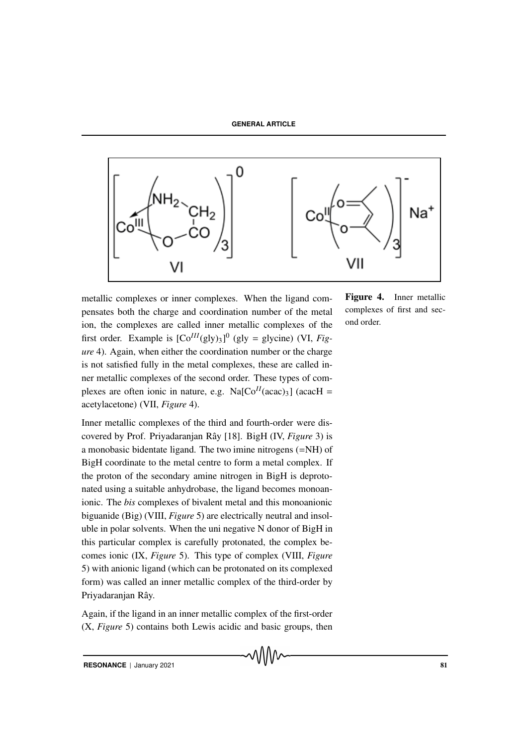

metallic complexes or inner complexes. When the ligand compensates both the charge and coordination number of the metal ion, the complexes are called inner metallic complexes of the first order. Example is  $[Co^{III}(gly)_3]^0$  (gly = glycine) (VI, *Figure* 4). Again, when either the coordination number or the charge is not satisfied fully in the metal complexes, these are called inner metallic complexes of the second order. These types of complexes are often ionic in nature, e.g.  $Na[Co<sup>II</sup>(acac)<sub>3</sub>]$  (acacH = acetylacetone) (VII, *Figure* 4).

Inner metallic complexes of the third and fourth-order were discovered by Prof. Priyadaranjan Rây [18]. BigH (IV, *Figure* 3) is a monobasic bidentate ligand. The two imine nitrogens (=NH) of BigH coordinate to the metal centre to form a metal complex. If the proton of the secondary amine nitrogen in BigH is deprotonated using a suitable anhydrobase, the ligand becomes monoanionic. The *bis* complexes of bivalent metal and this monoanionic biguanide (Big) (VIII, *Figure* 5) are electrically neutral and insoluble in polar solvents. When the uni negative N donor of BigH in this particular complex is carefully protonated, the complex becomes ionic (IX, *Figure* 5). This type of complex (VIII, *Figure* 5) with anionic ligand (which can be protonated on its complexed form) was called an inner metallic complex of the third-order by Priyadaranjan Rây.

Again, if the ligand in an inner metallic complex of the first-order (X, *Figure* 5) contains both Lewis acidic and basic groups, then

᠕᠕᠕᠕

**RESONANCE** | January 2021 81

Figure 4. Inner metallic complexes of first and second order.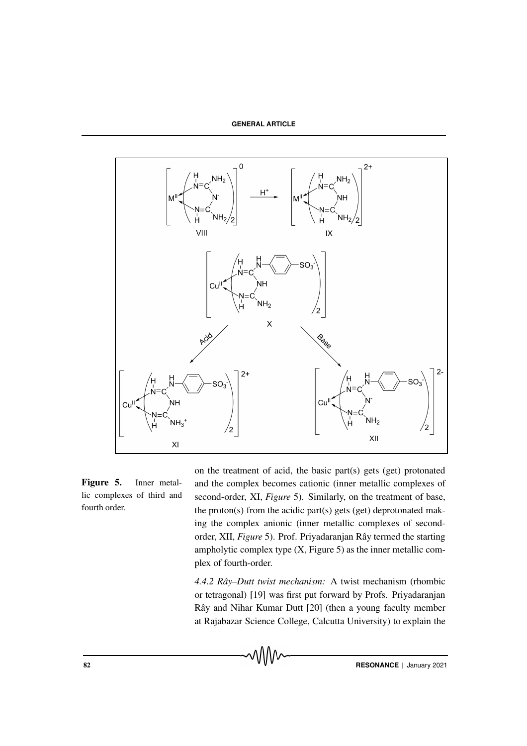**GENERAL ARTICLE**



Figure 5. Inner metallic complexes of third and fourth order.

on the treatment of acid, the basic part(s) gets (get) protonated and the complex becomes cationic (inner metallic complexes of second-order, XI, *Figure* 5). Similarly, on the treatment of base, the proton(s) from the acidic part(s) gets (get) deprotonated making the complex anionic (inner metallic complexes of secondorder, XII, *Figure* 5). Prof. Priyadaranjan Rây termed the starting ampholytic complex type  $(X, Figure 5)$  as the inner metallic complex of fourth-order.

*4.4.2 Rˆay–Dutt twist mechanism:* A twist mechanism (rhombic or tetragonal) [19] was first put forward by Profs. Priyadaranjan Rây and Nihar Kumar Dutt [20] (then a young faculty member at Rajabazar Science College, Calcutta University) to explain the

**RESONANCE** | January 2021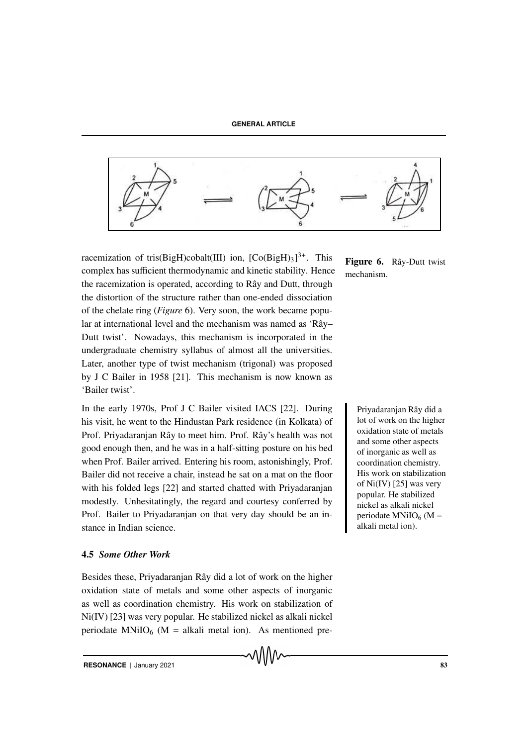**GENERAL ARTICLE**



racemization of tris(BigH)cobalt(III) ion,  $[Co(BigH)<sub>3</sub>]^{3+}$ . This complex has sufficient thermodynamic and kinetic stability. Hence the racemization is operated, according to Rây and Dutt, through the distortion of the structure rather than one-ended dissociation of the chelate ring (*Figure* 6). Very soon, the work became popular at international level and the mechanism was named as 'Rây– Dutt twist'. Nowadays, this mechanism is incorporated in the undergraduate chemistry syllabus of almost all the universities. Later, another type of twist mechanism (trigonal) was proposed by J C Bailer in 1958 [21]. This mechanism is now known as 'Bailer twist'.

In the early 1970s, Prof J C Bailer visited IACS [22]. During Priyadaranjan Rây did a his visit, he went to the Hindustan Park residence (in Kolkata) of Prof. Priyadaranjan Rây to meet him. Prof. Rây's health was not good enough then, and he was in a half-sitting posture on his bed when Prof. Bailer arrived. Entering his room, astonishingly, Prof. Bailer did not receive a chair, instead he sat on a mat on the floor with his folded legs [22] and started chatted with Priyadaranjan modestly. Unhesitatingly, the regard and courtesy conferred by Prof. Bailer to Priyadaranjan on that very day should be an instance in Indian science.

#### 4.5 *Some Other Work*

Besides these, Priyadaranjan Rây did a lot of work on the higher oxidation state of metals and some other aspects of inorganic as well as coordination chemistry. His work on stabilization of Ni(IV) [23] was very popular. He stabilized nickel as alkali nickel periodate MNiIO<sub>6</sub> (M = alkali metal ion). As mentioned preFigure 6. Rây-Dutt twist mechanism.

> lot of work on the higher oxidation state of metals and some other aspects of inorganic as well as coordination chemistry. His work on stabilization of Ni(IV) [25] was very popular. He stabilized nickel as alkali nickel periodate MNiIO<sub>6</sub> (M = alkali metal ion).

**RESONANCE** | January 2021 83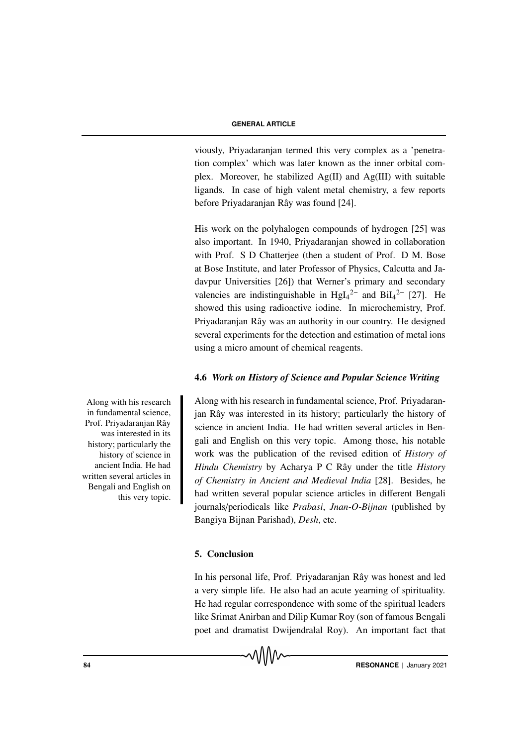viously, Priyadaranjan termed this very complex as a 'penetration complex' which was later known as the inner orbital complex. Moreover, he stabilized Ag(II) and Ag(III) with suitable ligands. In case of high valent metal chemistry, a few reports before Priyadaranjan Rây was found [24].

His work on the polyhalogen compounds of hydrogen [25] was also important. In 1940, Priyadaranjan showed in collaboration with Prof. S D Chatterjee (then a student of Prof. D M. Bose at Bose Institute, and later Professor of Physics, Calcutta and Jadavpur Universities [26]) that Werner's primary and secondary valencies are indistinguishable in  $Hgl_4^2$ <sup>-</sup> and  $Bil_4^2$ <sup>-</sup> [27]. He showed this using radioactive iodine. In microchemistry, Prof. Priyadaranjan Rây was an authority in our country. He designed several experiments for the detection and estimation of metal ions using a micro amount of chemical reagents.

### 4.6 *Work on History of Science and Popular Science Writing*

Along with his research in fundamental science, Prof. Priyadaranjan Rây was interested in its history; particularly the history of science in ancient India. He had written several articles in Bengali and English on this very topic. Among those, his notable work was the publication of the revised edition of *History of Hindu Chemistry* by Acharya P C Rây under the title *History of Chemistry in Ancient and Medieval India* [28]. Besides, he had written several popular science articles in different Bengali journals/periodicals like *Prabasi*, *Jnan-O-Bijnan* (published by Bangiya Bijnan Parishad), *Desh*, etc.

#### 5. Conclusion

In his personal life, Prof. Priyadaranjan Rây was honest and led a very simple life. He also had an acute yearning of spirituality. He had regular correspondence with some of the spiritual leaders like Srimat Anirban and Dilip Kumar Roy (son of famous Bengali poet and dramatist Dwijendralal Roy). An important fact that

Along with his research in fundamental science, Prof. Privadaranjan Rây was interested in its history; particularly the history of science in ancient India. He had written several articles in Bengali and English on this very topic.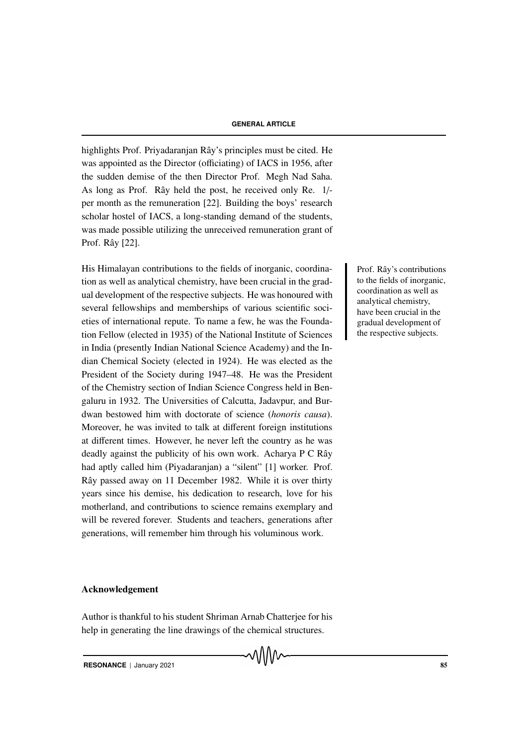highlights Prof. Priyadaranjan Rây's principles must be cited. He was appointed as the Director (officiating) of IACS in 1956, after the sudden demise of the then Director Prof. Megh Nad Saha. As long as Prof. Rây held the post, he received only Re. 1/per month as the remuneration [22]. Building the boys' research scholar hostel of IACS, a long-standing demand of the students, was made possible utilizing the unreceived remuneration grant of Prof. Rây [22].

His Himalayan contributions to the fields of inorganic, coordina- Prof. Rây's contributions tion as well as analytical chemistry, have been crucial in the gradual development of the respective subjects. He was honoured with several fellowships and memberships of various scientific societies of international repute. To name a few, he was the Foundation Fellow (elected in 1935) of the National Institute of Sciences in India (presently Indian National Science Academy) and the Indian Chemical Society (elected in 1924). He was elected as the President of the Society during 1947–48. He was the President of the Chemistry section of Indian Science Congress held in Bengaluru in 1932. The Universities of Calcutta, Jadavpur, and Burdwan bestowed him with doctorate of science (*honoris causa*). Moreover, he was invited to talk at different foreign institutions at different times. However, he never left the country as he was deadly against the publicity of his own work. Acharya P C Rây had aptly called him (Piyadaranjan) a "silent" [1] worker. Prof. Rây passed away on 11 December 1982. While it is over thirty years since his demise, his dedication to research, love for his motherland, and contributions to science remains exemplary and will be revered forever. Students and teachers, generations after generations, will remember him through his voluminous work.

### Acknowledgement

Author is thankful to his student Shriman Arnab Chatterjee for his help in generating the line drawings of the chemical structures.

**RESONANCE** | January 2021 85

to the fields of inorganic, coordination as well as analytical chemistry, have been crucial in the gradual development of the respective subjects.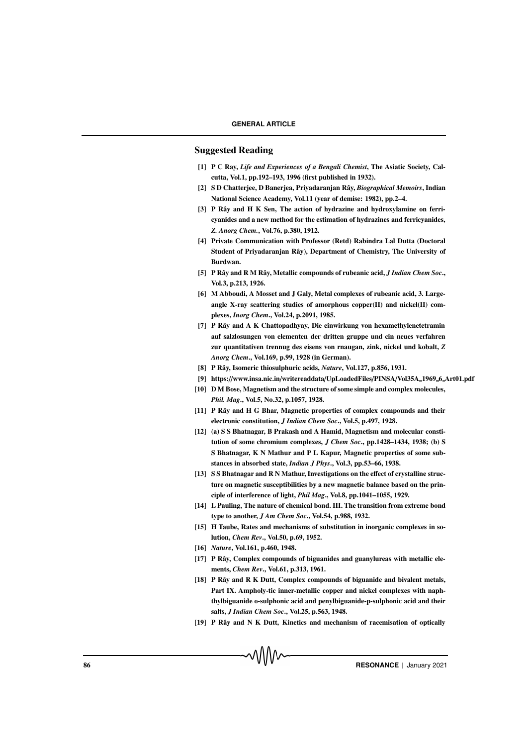### Suggested Reading

- [1] P C Ray, *Life and Experiences of a Bengali Chemist*, The Asiatic Society, Calcutta, Vol.1, pp.192–193, 1996 (first published in 1932).
- [2] S D Chatterjee, D Banerjea, Priyadaranjan Rây, *Biographical Memoirs*, Indian National Science Academy, Vol.11 (year of demise: 1982), pp.2–4.
- [3] P Rây and H K Sen, The action of hydrazine and hydroxylamine on ferricyanides and a new method for the estimation of hydrazines and ferricyanides, *Z. Anorg Chem.*, Vol.76, p.380, 1912.
- [4] Private Communication with Professor (Retd) Rabindra Lal Dutta (Doctoral Student of Privadaranian Rây), Department of Chemistry, The University of Burdwan.
- [5] P Rây and R M Rây, Metallic compounds of rubeanic acid, *J Indian Chem Soc.*, Vol.3, p.213, 1926.
- [6] M Abboudi, A Mosset and J Galy, Metal complexes of rubeanic acid, 3. Largeangle X-ray scattering studies of amorphous copper(II) and nickel(II) complexes, *Inorg Chem*., Vol.24, p.2091, 1985.
- [7] P Rây and A K Chattopadhyay, Die einwirkung von hexamethylenetetramin auf salzlosungen von elementen der dritten gruppe und cin neues verfahren zur quantitativen trennug des eisens von rnaugan, zink, nickel und kobalt, *Z Anorg Chem*., Vol.169, p.99, 1928 (in German).
- [8] P Rây, Isomeric thiosulphuric acids, *Nature*, Vol.127, p.856, 1931.
- [9] https://www.insa.nic.in/writereaddata/UpLoadedFiles/PINSA/Vol35A 1969 6 Art01.pdf
- [10] D M Bose, Magnetism and the structure of some simple and complex molecules, *Phil. Mag*., Vol.5, No.32, p.1057, 1928.
- [11] P Rây and H G Bhar, Magnetic properties of complex compounds and their electronic constitution, *J Indian Chem Soc*., Vol.5, p.497, 1928.
- [12] (a) S S Bhatnagar, B Prakash and A Hamid, Magnetism and molecular constitution of some chromium complexes, *J Chem Soc*., pp.1428–1434, 1938; (b) S S Bhatnagar, K N Mathur and P L Kapur, Magnetic properties of some substances in absorbed state, *Indian J Phys*., Vol.3, pp.53–66, 1938.
- [13] S S Bhatnagar and R N Mathur, Investigations on the effect of crystalline structure on magnetic susceptibilities by a new magnetic balance based on the principle of interference of light, *Phil Mag*., Vol.8, pp.1041–1055, 1929.
- [14] L Pauling, The nature of chemical bond. III. The transition from extreme bond type to another, *J Am Chem Soc*., Vol.54, p.988, 1932.
- [15] H Taube, Rates and mechanisms of substitution in inorganic complexes in solution, *Chem Rev*., Vol.50, p.69, 1952.
- [16] *Nature*, Vol.161, p.460, 1948.
- [17] P Rây, Complex compounds of biguanides and guanylureas with metallic elements, *Chem Rev*., Vol.61, p.313, 1961.
- [18] P Rây and R K Dutt, Complex compounds of biguanide and bivalent metals, Part IX. Ampholy-tic inner-metallic copper and nickel complexes with naphthylbiguanide o-sulphonic acid and penylbiguanide-p-sulphonic acid and their salts, *J Indian Chem Soc*., Vol.25, p.563, 1948.
- [19] P Rây and N K Dutt, Kinetics and mechanism of racemisation of optically